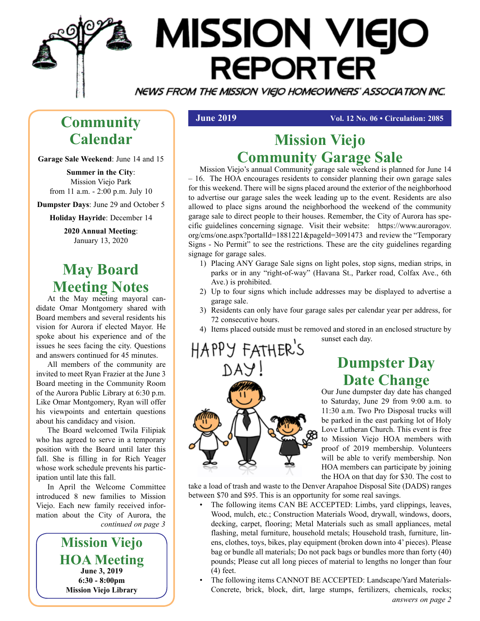

# **MISSION VIEJO REPORTER**

NEWS FROM THE MISSION VIEJO HOMEOWNERS' ASSOCIATION INC.

## **Community Calendar**

**Garage Sale Weekend**: June 14 and 15

**Summer in the City**: Mission Viejo Park from 11 a.m. - 2:00 p.m. July 10

**Dumpster Days**: June 29 and October 5

**Holiday Hayride**: December 14

**2020 Annual Meeting**: January 13, 2020

## **May Board Meeting Notes**

At the May meeting mayoral candidate Omar Montgomery shared with Board members and several residents his vision for Aurora if elected Mayor. He spoke about his experience and of the issues he sees facing the city. Questions and answers continued for 45 minutes.

All members of the community are invited to meet Ryan Frazier at the June 3 Board meeting in the Community Room of the Aurora Public Library at 6:30 p.m. Like Omar Montgomery, Ryan will offer his viewpoints and entertain questions about his candidacy and vision.

The Board welcomed Twila Filipiak who has agreed to serve in a temporary position with the Board until later this fall. She is filling in for Rich Yeager whose work schedule prevents his participation until late this fall.

In April the Welcome Committee introduced 8 new families to Mission Viejo. Each new family received information about the City of Aurora, the *continued on page 3*

> **Mission Viejo HOA Meeting June 3, 2019 6:30 - 8:00pm Mission Viejo Library**

**June 2019 Vol. 12 No. 06 • Circulation: 2085** 

## **Mission Viejo Community Garage Sale**

Mission Viejo's annual Community garage sale weekend is planned for June 14 – 16. The HOA encourages residents to consider planning their own garage sales for this weekend. There will be signs placed around the exterior of the neighborhood to advertise our garage sales the week leading up to the event. Residents are also allowed to place signs around the neighborhood the weekend of the community garage sale to direct people to their houses. Remember, the City of Aurora has specific guidelines concerning signage. Visit their website: https://www.auroragov. org/cms/one.aspx?portalId=1881221&pageId=3091473 and review the "Temporary Signs - No Permit" to see the restrictions. These are the city guidelines regarding signage for garage sales.

- 1) Placing ANY Garage Sale signs on light poles, stop signs, median strips, in parks or in any "right-of-way" (Havana St., Parker road, Colfax Ave., 6th Ave.) is prohibited.
- 2) Up to four signs which include addresses may be displayed to advertise a garage sale.
- 3) Residents can only have four garage sales per calendar year per address, for 72 consecutive hours.
- 4) Items placed outside must be removed and stored in an enclosed structure by

sunset each day.

HAPPY FATHER'S



**Dumpster Day Date Change**

Our June dumpster day date has changed to Saturday, June 29 from 9:00 a.m. to 11:30 a.m. Two Pro Disposal trucks will be parked in the east parking lot of Holy Love Lutheran Church. This event is free to Mission Viejo HOA members with proof of 2019 membership. Volunteers will be able to verify membership. Non HOA members can participate by joining the HOA on that day for \$30. The cost to

take a load of trash and waste to the Denver Arapahoe Disposal Site (DADS) ranges between \$70 and \$95. This is an opportunity for some real savings.

- The following items CAN BE ACCEPTED: Limbs, yard clippings, leaves, Wood, mulch, etc.; Construction Materials Wood, drywall, windows, doors, decking, carpet, flooring; Metal Materials such as small appliances, metal flashing, metal furniture, household metals; Household trash, furniture, linens, clothes, toys, bikes, play equipment (broken down into 4' pieces). Please bag or bundle all materials; Do not pack bags or bundles more than forty (40) pounds; Please cut all long pieces of material to lengths no longer than four (4) feet.
- *answers on page 2* • The following items CANNOT BE ACCEPTED: Landscape/Yard Materials-Concrete, brick, block, dirt, large stumps, fertilizers, chemicals, rocks;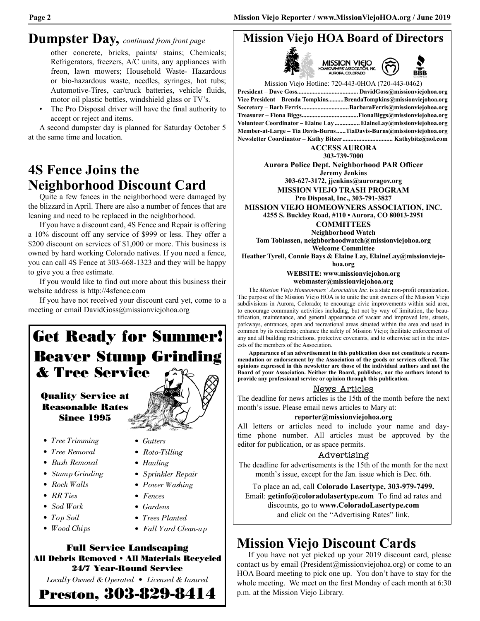#### **Dumpster Day,** *continued from front page*

other concrete, bricks, paints/ stains; Chemicals; Refrigerators, freezers, A/C units, any appliances with freon, lawn mowers; Household Waste- Hazardous or bio-hazardous waste, needles, syringes, hot tubs; Automotive-Tires, car/truck batteries, vehicle fluids, motor oil plastic bottles, windshield glass or TV's.

The Pro Disposal driver will have the final authority to accept or reject and items.

A second dumpster day is planned for Saturday October 5 at the same time and location.

## **4S Fence Joins the Neighborhood Discount Card**

Quite a few fences in the neighborhood were damaged by the blizzard in April. There are also a number of fences that are leaning and need to be replaced in the neighborhood.

If you have a discount card, 4S Fence and Repair is offering a 10% discount off any service of \$999 or less. They offer a \$200 discount on services of \$1,000 or more. This business is owned by hard working Colorado natives. If you need a fence, you can call 4S Fence at 303-668-1323 and they will be happy to give you a free estimate.

If you would like to find out more about this business their website address is http://4sfence.com

If you have not received your discount card yet, come to a meeting or email DavidGoss@missionviejohoa.org

## Get Ready for Summer! Beaver Stump Grinding & Tree Service

#### Quality Service at Reasonable Rates Since 1995

- *Tree Trimming*
- *Rock Walls*
- *RR Ties*
- *Sod Work*
- *Top Soil*
- *Wood Chips*
- 
- 
- 
- *Gardens*
- *Trees Planted*
- *Tree Removal • Bush Removal • Stump Grinding • Gutters • Roto-Tilling • Hauling • Sprinkler Repair*

Full Service Landscaping All Debris Removed • All Materials Recycled 24/7 Year-Round Service *Locally Owned & Operated • Licensed & Insured* Preston, 303-829-8414

- *Power Washing*
- *Fences*
- -
- *Fall Yard Clean-up*



**Jeremy Jenkins 303-627-3172, jjenkins@auroragov.org**

**MISSION VIEJO TRASH PROGRAM**

**Pro Disposal, Inc., 303-791-3827 MISSION VIEJO HOMEOWNERS ASSOCIATION, INC. 4255 S. Buckley Road, #110 • Aurora, CO 80013-2951**

**COMMITTEES**

**Neighborhood Watch Tom Tobiassen, neighborhoodwatch@missionviejohoa.org**

**Welcome Committee**

**Heather Tyrell, Connie Bays & Elaine Lay, ElaineLay@missionviejo-**

**hoa.org**

**WEBSITE: www.missionviejohoa.org**

**webmaster@missionviejohoa.org**

The *Mission Viejo Homeowners' Association Inc.* is a state non-profit organization. The purpose of the Mission Viejo HOA is to unite the unit owners of the Mission Viejo subdivisions in Aurora, Colorado; to encourage civic improvements within said area, to encourage community activities including, but not by way of limitation, the beautification, maintenance, and general appearance of vacant and improved lots, streets, parkways, entrances, open and recreational areas situated within the area and used in common by its residents; enhance the safety of Mission Viejo; facilitate enforcement of any and all building restrictions, protective covenants, and to otherwise act in the interests of the members of the Association.

**Appearance of an advertisement in this publication does not constitute a recommendation or endorsement by the Association of the goods or services offered. The opinions expressed in this newsletter are those of the individual authors and not the Board of your Association. Neither the Board, publisher, nor the authors intend to provide any professional service or opinion through this publication.**

#### News Articles

The deadline for news articles is the 15th of the month before the next month's issue. Please email news articles to Mary at:

#### **reporter@missionviejohoa.org**

All letters or articles need to include your name and daytime phone number. All articles must be approved by the editor for publication, or as space permits.

#### Advertising

The deadline for advertisements is the 15th of the month for the next month's issue, except for the Jan. issue which is Dec. 6th.

To place an ad, call **Colorado Lasertype, 303-979-7499.** Email: **getinfo@coloradolasertype.com** To find ad rates and discounts, go to **www.ColoradoLasertype.com** and click on the "Advertising Rates" link.

## **Mission Viejo Discount Cards**

If you have not yet picked up your 2019 discount card, please contact us by email (President@missionviejohoa.org) or come to an HOA Board meeting to pick one up. You don't have to stay for the whole meeting. We meet on the first Monday of each month at 6:30 p.m. at the Mission Viejo Library.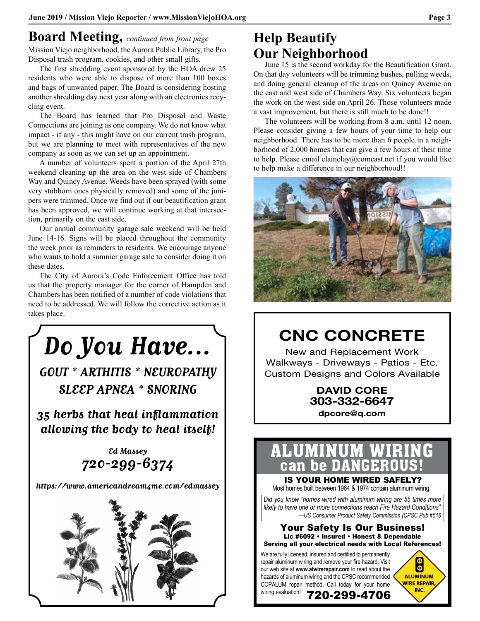## **Board Meeting,** *continued from front page*

Mission Viejo neighborhood, the Aurora Public Library, the Pro Disposal trash program, cookies, and other small gifts.

The first shredding event sponsored by the HOA drew 25 residents who were able to dispose of more than 100 boxes and bags of unwanted paper. The Board is considering hosting another shredding day next year along with an electronics recycling event.

The Board has learned that Pro Disposal and Waste Connections are joining as one company. We do not know what impact - if any - this might have on our current trash program, but we are planning to meet with representatives of the new company as soon as we can set up an appointment.

A number of volunteers spent a portion of the April 27th weekend cleaning up the area on the west side of Chambers Way and Quincy Avenue. Weeds have been sprayed (with some very stubborn ones physically removed) and some of the junipers were trimmed. Once we find out if our beautification grant has been approved, we will continue working at that intersection, primarily on the east side.

Our annual community garage sale weekend will be held June 14-16. Signs will be placed throughout the community the week prior as reminders to residents. We encourage anyone who wants to hold a summer garage sale to consider doing it on these dates.

The City of Aurora's Code Enforcement Office has told us that the property manager for the corner of Hampden and Chambers has been notified of a number of code violations that need to be addressed. We will follow the corrective action as it takes place.



## **Help Beautify Our Neighborhood**

June 15 is the second workday for the Beautification Grant. On that day volunteers will be trimming bushes, pulling weeds, and doing general cleanup of the areas on Quincy Avenue on the east and west side of Chambers Way. Six volunteers began the work on the west side on April 26. Those volunteers made a vast improvement, but there is still much to be done!!

The volunteers will be working from 8 a.m. until 12 noon. Please consider giving a few hours of your time to help our neighborhood. There has to be more than 6 people in a neighborhood of 2,000 homes that can give a few hours of their time to help. Please email elainelay@comcast.net if you would like to help make a difference in our neighborhood!!



## **CNC CONCRETE**

New and Replacement Work Walkways - Driveways - Patios - Etc. Custom Designs and Colors Available

> **DAVID CORE 303-332-6647**

### **dpcore@q.com**

## ALUMINUM WIRROUS!

UGHT OUR DANGERIOUS:<br>IS YOUR HOME WIRED SAFELY?

Most homes built between 1964 & 1974 contain aluminum wiring.

*Did you know "homes wired with aluminum wiring are 55 times more likely to have one or more connections reach Fire Hazard Conditions" —US Consumer Product Safety Commission (CPSC Pub #516*

#### Your Safety Is Our Business! Lic #6092 • Insured • Honest & Dependable Serving all your electrical needs with Local References!

720-299-4706

We are fully licensed, insured and certified to permanently repair aluminum wiring and remove your fire hazard. Visit our web site at **www.alwirerepair.com** to read about the hazards of aluminum wiring and the CPSC recommended COPALUM repair method. Call today for your home

wiring evaluation!

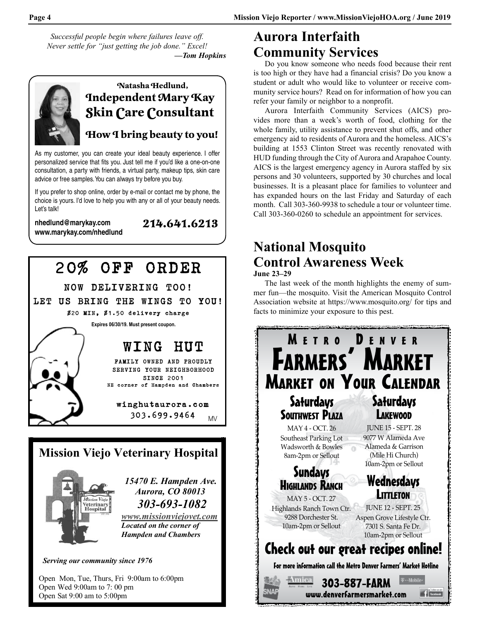*Successful people begin where failures leave off. Never settle for "just getting the job done." Excel! —Tom Hopkins*



## **Natasha Hedlund, Independent Mary Kay Skin Care Consultant**

#### **How I bring beauty to you!**

**214.641.6213**

As my customer, you can create your ideal beauty experience. I offer personalized service that fits you. Just tell me if you'd like a one-on-one consultation, a party with friends, a virtual party, makeup tips, skin care advice or free samples. You can always try before you buy.

If you prefer to shop online, order by e-mail or contact me by phone, the choice is yours. I'd love to help you with any or all of your beauty needs. Let's talk!

**nhedlund@marykay.com www.marykay.com/nhedlund**



**Serving our community since 1976** 

Open Mon, Tue, Thurs, Fri 9:00am to 6:00pm Open Wed 9:00am to 7:00 pm Open Sat 9:00 am to 5:00pm

## **Aurora Interfaith Community Services**

Do you know someone who needs food because their rent is too high or they have had a financial crisis? Do you know a student or adult who would like to volunteer or receive community service hours? Read on for information of how you can refer your family or neighbor to a nonprofit.

Aurora Interfaith Community Services (AICS) provides more than a week's worth of food, clothing for the whole family, utility assistance to prevent shut offs, and other emergency aid to residents of Aurora and the homeless. AICS's building at 1553 Clinton Street was recently renovated with HUD funding through the City of Aurora and Arapahoe County. AICS is the largest emergency agency in Aurora staffed by six persons and 30 volunteers, supported by 30 churches and local businesses. It is a pleasant place for families to volunteer and has expanded hours on the last Friday and Saturday of each month. Call 303-360-9938 to schedule a tour or volunteer time. Call 303-360-0260 to schedule an appointment for services.

### **National Mosquito Control Awareness Week June 23–29**

The last week of the month highlights the enemy of summer fun—the mosquito. Visit the American Mosquito Control Association website at https://www.mosquito.org/ for tips and facts to minimize your exposure to this pest.

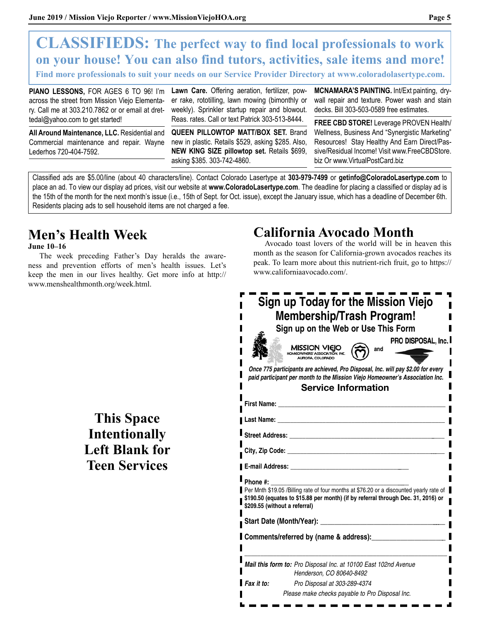## **CLASSIFIEDS: The perfect way to find local professionals to work on your house! You can also find tutors, activities, sale items and more!**

**Find more professionals to suit your needs on our Service Provider Directory at www.coloradolasertype.com.**

**PIANO LESSONS,** FOR AGES 6 TO 96! I'm across the street from Mission Viejo Elementary. Call me at 303.210.7862 or or email at drettedal@yahoo.com to get started!

**All Around Maintenance, LLC.** Residential and Commercial maintenance and repair. Wayne Lederhos 720-404-7592.

**Lawn Care.** Offering aeration, fertilizer, power rake, rototilling, lawn mowing (bimonthly or weekly). Sprinkler startup repair and blowout. Reas. rates. Call or text Patrick 303-513-8444.

**QUEEN PILLOWTOP MATT/BOX SET.** Brand new in plastic. Retails \$529, asking \$285. Also, **NEW KING SIZE pillowtop set.** Retails \$699, asking \$385. 303-742-4860.

**MCNAMARA'S PAINTING.** Int/Ext painting, drywall repair and texture. Power wash and stain decks. Bill 303-503-0589 free estimates.

**FREE CBD STORE!** Leverage PROVEN Health/ Wellness, Business And "Synergistic Marketing" Resources! Stay Healthy And Earn Direct/Passive/Residual Income! Visit www.FreeCBDStore. biz Or www.VirtualPostCard.biz

Classified ads are \$5.00/line (about 40 characters/line). Contact Colorado Lasertype at **303-979-7499** or **getinfo@ColoradoLasertype.com** to place an ad. To view our display ad prices, visit our website at **www.ColoradoLasertype.com**. The deadline for placing a classified or display ad is the 15th of the month for the next month's issue (i.e., 15th of Sept. for Oct. issue), except the January issue, which has a deadline of December 6th. Residents placing ads to sell household items are not charged a fee.

## **Men's Health Week**

#### **June 10–16**

The week preceding Father's Day heralds the awareness and prevention efforts of men's health issues. Let's keep the men in our lives healthy. Get more info at http:// www.menshealthmonth.org/week.html.

## **California Avocado Month**

Avocado toast lovers of the world will be in heaven this month as the season for California-grown avocados reaches its peak. To learn more about this nutrient-rich fruit, go to https:// www.californiaavocado.com/.

|                    | Sign up Today for the Mission Viejo<br><b>Membership/Trash Program!</b><br>Sign up on the Web or Use This Form<br>PRO DISPOSAL, Inc.<br>MISSION VIEIO<br>and<br><b>ORA COLORADO</b>                                            |
|--------------------|--------------------------------------------------------------------------------------------------------------------------------------------------------------------------------------------------------------------------------|
|                    | Once 775 participants are achieved, Pro Disposal, Inc. will pay \$2.00 for every<br>paid participant per month to the Mission Viejo Homeowner's Association Inc.                                                               |
|                    | <b>Service Information</b>                                                                                                                                                                                                     |
| <b>First Name:</b> |                                                                                                                                                                                                                                |
|                    | Last Name: the contract of the contract of the contract of the contract of the contract of the contract of the contract of the contract of the contract of the contract of the contract of the contract of the contract of the |
|                    |                                                                                                                                                                                                                                |
|                    |                                                                                                                                                                                                                                |
|                    |                                                                                                                                                                                                                                |
|                    | E-mail Address: E-mail Address:                                                                                                                                                                                                |
| Phone #:           |                                                                                                                                                                                                                                |
|                    | Per Mnth \$19.05 /Billing rate of four months at \$76.20 or a discounted yearly rate of<br>\$190.50 (equates to \$15.88 per month) (if by referral through Dec. 31, 2016) or<br>\$209.55 (without a referral)                  |
|                    | <b>Start Date (Month/Year):</b><br><u> 1986 - Jan Stein Stein Stein Stein Stein Stein Stein Stein Stein Stein Stein Stein Stein Stein Stein Stein S</u>                                                                        |
|                    | Comments/referred by (name & address):                                                                                                                                                                                         |
|                    | Mail this form to: Pro Disposal Inc. at 10100 East 102nd Avenue<br>Henderson, CO 80640-8492                                                                                                                                    |
| Fax it to:         | Pro Disposal at 303-289-4374                                                                                                                                                                                                   |
|                    | Please make checks payable to Pro Disposal Inc.                                                                                                                                                                                |

## **This Space Intentionally Left Blank for Teen Services**